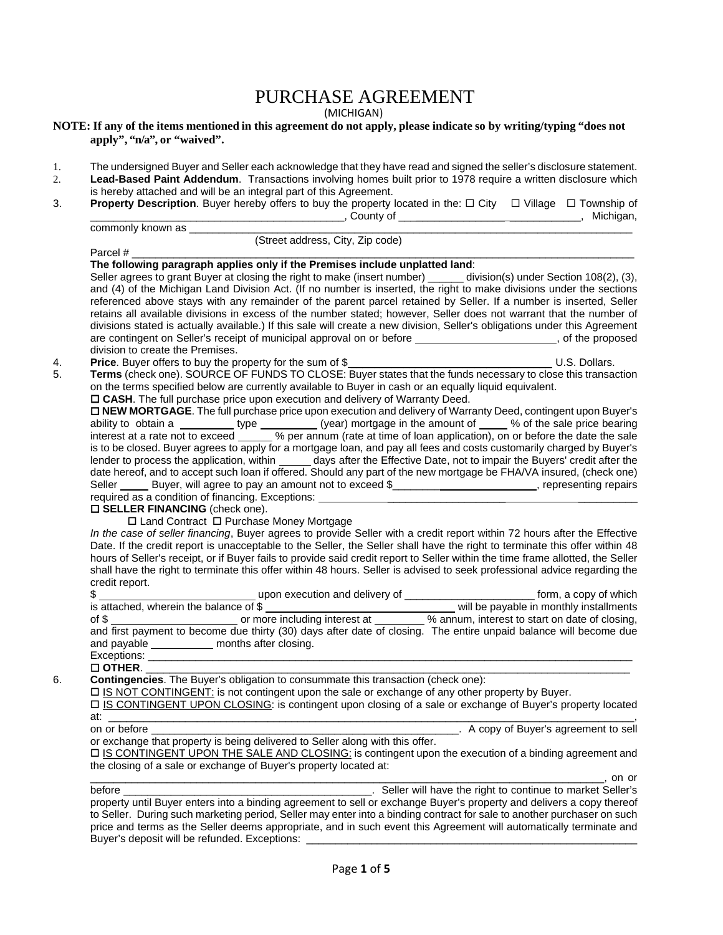## PURCHASE AGREEMENT

(MICHIGAN)

## **NOTE: If any of the items mentioned in this agreement do not apply, please indicate so by writing/typing "does not apply", "n/a", or "waived".**

- 1. The undersigned Buyer and Seller each acknowledge that they have read and signed the seller's disclosure statement.<br>2. Lead-Based Paint Addendum. Transactions involving homes built prior to 1978 require a written disclo
- Lead-Based Paint Addendum. Transactions involving homes built prior to 1978 require a written disclosure which is hereby attached and will be an integral part of this Agreement.
- 3. **Property Description**. Buyer hereby offers to buy the property located in the: □ City □ Village □ Township of<br>County of county of the property of the property of the property of the property of the michiqan. \_\_\_\_\_\_\_\_\_\_\_\_\_\_\_\_\_\_\_\_\_\_\_\_\_\_\_\_\_\_\_\_\_\_\_\_\_\_\_\_\_\_\_, County of \_\_\_\_\_\_\_\_\_\_\_\_\_\_\_\_\_\_ \_\_\_\_\_\_\_\_\_\_\_\_, Michigan,

| commonly known as                              | _, O O UIII VI                                                                                                                                                                                                                                  |                                     |
|------------------------------------------------|-------------------------------------------------------------------------------------------------------------------------------------------------------------------------------------------------------------------------------------------------|-------------------------------------|
|                                                | (Street address, City, Zip code)                                                                                                                                                                                                                |                                     |
| Parcel #                                       |                                                                                                                                                                                                                                                 |                                     |
|                                                | The following paragraph applies only if the Premises include unplatted land:                                                                                                                                                                    |                                     |
|                                                | Seller agrees to grant Buyer at closing the right to make (insert number) ______ division(s) under Section 108(2), (3),<br>and (4) of the Michigan Land Division Act. (If no number is inserted, the right to make divisions under the sections |                                     |
|                                                |                                                                                                                                                                                                                                                 |                                     |
|                                                | referenced above stays with any remainder of the parent parcel retained by Seller. If a number is inserted, Seller<br>retains all available divisions in excess of the number stated; however, Seller does not warrant that the number of       |                                     |
|                                                | divisions stated is actually available.) If this sale will create a new division, Seller's obligations under this Agreement                                                                                                                     |                                     |
|                                                | are contingent on Seller's receipt of municipal approval on or before ______________________, of the proposed                                                                                                                                   |                                     |
| division to create the Premises.               |                                                                                                                                                                                                                                                 |                                     |
|                                                |                                                                                                                                                                                                                                                 |                                     |
|                                                |                                                                                                                                                                                                                                                 |                                     |
|                                                | on the terms specified below are currently available to Buyer in cash or an equally liquid equivalent.                                                                                                                                          |                                     |
|                                                | □ CASH. The full purchase price upon execution and delivery of Warranty Deed.                                                                                                                                                                   |                                     |
|                                                | D NEW MORTGAGE. The full purchase price upon execution and delivery of Warranty Deed, contingent upon Buyer's                                                                                                                                   |                                     |
|                                                |                                                                                                                                                                                                                                                 |                                     |
|                                                | ability to obtain a ____________ type _________ (year) mortgage in the amount of _____% of the sale price bearing<br>interest at a rate not to exceed ______% per annum (rate at time of loan application), on or before the date               |                                     |
|                                                | is to be closed. Buyer agrees to apply for a mortgage loan, and pay all fees and costs customarily charged by Buyer's                                                                                                                           |                                     |
|                                                | lender to process the application, within ______ days after the Effective Date, not to impair the Buyers' credit after the                                                                                                                      |                                     |
|                                                | date hereof, and to accept such loan if offered. Should any part of the new mortgage be FHA/VA insured, (check one)                                                                                                                             |                                     |
|                                                | Seller ______ Buyer, will agree to pay an amount not to exceed \$___________________________, representing repairs                                                                                                                              |                                     |
|                                                | required as a condition of financing. Exceptions: ______________________________                                                                                                                                                                |                                     |
| <b>O SELLER FINANCING</b> (check one).         |                                                                                                                                                                                                                                                 |                                     |
|                                                | □ Land Contract □ Purchase Money Mortgage                                                                                                                                                                                                       |                                     |
|                                                | In the case of seller financing, Buyer agrees to provide Seller with a credit report within 72 hours after the Effective                                                                                                                        |                                     |
|                                                | Date. If the credit report is unacceptable to the Seller, the Seller shall have the right to terminate this offer within 48                                                                                                                     |                                     |
|                                                | hours of Seller's receipt, or if Buyer fails to provide said credit report to Seller within the time frame allotted, the Seller                                                                                                                 |                                     |
|                                                | shall have the right to terminate this offer within 48 hours. Seller is advised to seek professional advice regarding the                                                                                                                       |                                     |
| credit report.                                 |                                                                                                                                                                                                                                                 |                                     |
|                                                |                                                                                                                                                                                                                                                 |                                     |
|                                                |                                                                                                                                                                                                                                                 |                                     |
|                                                |                                                                                                                                                                                                                                                 |                                     |
|                                                | and first payment to become due thirty (30) days after date of closing. The entire unpaid balance will become due                                                                                                                               |                                     |
| and payable ____________ months after closing. |                                                                                                                                                                                                                                                 |                                     |
|                                                |                                                                                                                                                                                                                                                 |                                     |
| $\square$ OTHER.                               |                                                                                                                                                                                                                                                 |                                     |
|                                                | Contingencies. The Buyer's obligation to consummate this transaction (check one):                                                                                                                                                               |                                     |
|                                                | □ IS NOT CONTINGENT: is not contingent upon the sale or exchange of any other property by Buyer.                                                                                                                                                |                                     |
|                                                | IS CONTINGENT UPON CLOSING: is contingent upon closing of a sale or exchange of Buyer's property located                                                                                                                                        |                                     |
|                                                |                                                                                                                                                                                                                                                 |                                     |
| on or before                                   |                                                                                                                                                                                                                                                 | A copy of Buyer's agreement to sell |
|                                                | or exchange that property is being delivered to Seller along with this offer.                                                                                                                                                                   |                                     |
|                                                | □ IS CONTINGENT UPON THE SALE AND CLOSING: is contingent upon the execution of a binding agreement and                                                                                                                                          |                                     |
|                                                | the closing of a sale or exchange of Buyer's property located at:                                                                                                                                                                               |                                     |
|                                                |                                                                                                                                                                                                                                                 | $\overline{\phantom{a}}$ , on or    |
| before __                                      | Seller will have the right to continue to market Seller's                                                                                                                                                                                       |                                     |
|                                                | property until Buyer enters into a binding agreement to sell or exchange Buyer's property and delivers a copy thereof                                                                                                                           |                                     |
|                                                | to Seller. During such marketing period, Seller may enter into a binding contract for sale to another purchaser on such                                                                                                                         |                                     |
|                                                | price and terms as the Seller deems appropriate, and in such event this Agreement will automatically terminate and                                                                                                                              |                                     |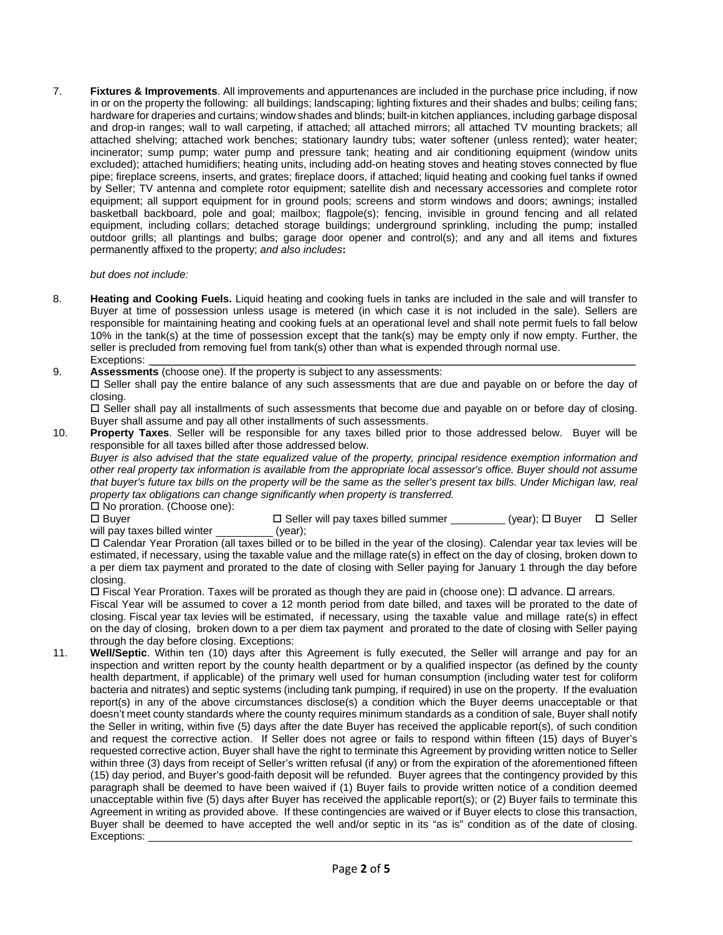7. **Fixtures & Improvements**. All improvements and appurtenances are included in the purchase price including, if now in or on the property the following: all buildings; landscaping; lighting fixtures and their shades and bulbs; ceiling fans; hardware for draperies and curtains; window shades and blinds; built-in kitchen appliances, including garbage disposal and drop-in ranges; wall to wall carpeting, if attached; all attached mirrors; all attached TV mounting brackets; all attached shelving; attached work benches; stationary laundry tubs; water softener (unless rented); water heater; incinerator; sump pump; water pump and pressure tank; heating and air conditioning equipment (window units excluded); attached humidifiers; heating units, including add-on heating stoves and heating stoves connected by flue pipe; fireplace screens, inserts, and grates; fireplace doors, if attached; liquid heating and cooking fuel tanks if owned by Seller; TV antenna and complete rotor equipment; satellite dish and necessary accessories and complete rotor equipment; all support equipment for in ground pools; screens and storm windows and doors; awnings; installed basketball backboard, pole and goal; mailbox; flagpole(s); fencing, invisible in ground fencing and all related equipment, including collars; detached storage buildings; underground sprinkling, including the pump; installed outdoor grills; all plantings and bulbs; garage door opener and control(s); and any and all items and fixtures permanently affixed to the property; *and also includes***:** 

 *but does not include:* 

- 8. **Heating and Cooking Fuels.** Liquid heating and cooking fuels in tanks are included in the sale and will transfer to Buyer at time of possession unless usage is metered (in which case it is not included in the sale). Sellers are responsible for maintaining heating and cooking fuels at an operational level and shall note permit fuels to fall below 10% in the tank(s) at the time of possession except that the tank(s) may be empty only if now empty. Further, the seller is precluded from removing fuel from tank(s) other than what is expended through normal use. Exceptions: \_\_\_\_\_\_\_\_\_\_\_\_\_\_\_\_\_\_\_\_\_\_\_\_\_\_\_\_\_\_\_\_\_\_\_\_\_\_\_\_\_\_\_\_\_\_\_\_\_\_\_\_\_\_\_\_\_\_\_\_\_\_\_\_\_\_\_\_\_\_\_\_\_\_\_\_\_\_\_\_\_\_
- 9. **Assessments** (choose one). If the property is subject to any assessments:
	- Seller shall pay the entire balance of any such assessments that are due and payable on or before the day of closing.

 Seller shall pay all installments of such assessments that become due and payable on or before day of closing. Buyer shall assume and pay all other installments of such assessments.

10. **Property Taxes**. Seller will be responsible for any taxes billed prior to those addressed below. Buyer will be responsible for all taxes billed after those addressed below.

 *Buyer is also advised that the state equalized value of the property, principal residence exemption information and other real property tax information is available from the appropriate local assessor's office. Buyer should not assume that buyer's future tax bills on the property will be the same as the seller's present tax bills. Under Michigan law, real property tax obligations can change significantly when property is transferred.*  $\Box$  No proration. (Choose one):

 $\Box$  Buyer  $\Box$  Seller will pay taxes billed summer  $\Box$  (year);  $\Box$  Buyer  $\Box$  Seller will pay taxes billed winter  $\Box$ will pay taxes billed winter  $\_\_$ 

 Calendar Year Proration (all taxes billed or to be billed in the year of the closing). Calendar year tax levies will be estimated, if necessary, using the taxable value and the millage rate(s) in effect on the day of closing, broken down to a per diem tax payment and prorated to the date of closing with Seller paying for January 1 through the day before closing.

 $\Box$  Fiscal Year Proration. Taxes will be prorated as though they are paid in (choose one):  $\Box$  advance.  $\Box$  arrears. Fiscal Year will be assumed to cover a 12 month period from date billed, and taxes will be prorated to the date of closing. Fiscal year tax levies will be estimated, if necessary, using the taxable value and millage rate(s) in effect on the day of closing, broken down to a per diem tax payment and prorated to the date of closing with Seller paying through the day before closing. Exceptions:

11. **Well/Septic**. Within ten (10) days after this Agreement is fully executed, the Seller will arrange and pay for an inspection and written report by the county health department or by a qualified inspector (as defined by the county health department, if applicable) of the primary well used for human consumption (including water test for coliform bacteria and nitrates) and septic systems (including tank pumping, if required) in use on the property. If the evaluation report(s) in any of the above circumstances disclose(s) a condition which the Buyer deems unacceptable or that doesn't meet county standards where the county requires minimum standards as a condition of sale, Buyer shall notify the Seller in writing, within five (5) days after the date Buyer has received the applicable report(s), of such condition and request the corrective action. If Seller does not agree or fails to respond within fifteen (15) days of Buyer's requested corrective action, Buyer shall have the right to terminate this Agreement by providing written notice to Seller within three (3) days from receipt of Seller's written refusal (if any) or from the expiration of the aforementioned fifteen (15) day period, and Buyer's good-faith deposit will be refunded. Buyer agrees that the contingency provided by this paragraph shall be deemed to have been waived if (1) Buyer fails to provide written notice of a condition deemed unacceptable within five (5) days after Buyer has received the applicable report(s); or (2) Buyer fails to terminate this Agreement in writing as provided above. If these contingencies are waived or if Buyer elects to close this transaction, Buyer shall be deemed to have accepted the well and/or septic in its "as is" condition as of the date of closing. Exceptions: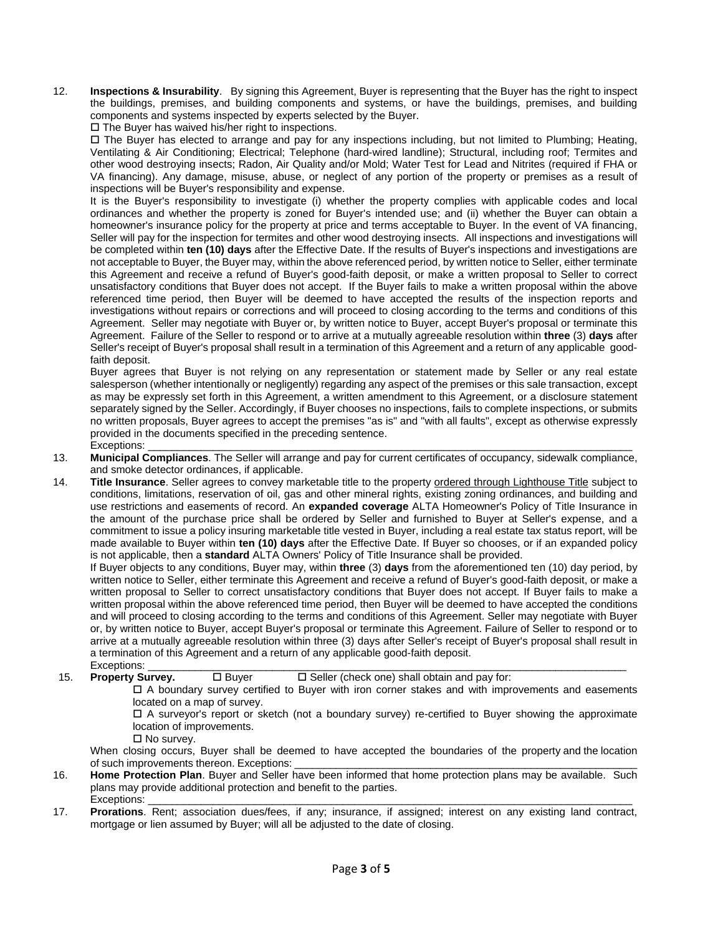12. **Inspections & Insurability**. By signing this Agreement, Buyer is representing that the Buyer has the right to inspect the buildings, premises, and building components and systems, or have the buildings, premises, and building components and systems inspected by experts selected by the Buyer.

 $\square$  The Buyer has waived his/her right to inspections.

 The Buyer has elected to arrange and pay for any inspections including, but not limited to Plumbing; Heating, Ventilating & Air Conditioning; Electrical; Telephone (hard-wired landline); Structural, including roof; Termites and other wood destroying insects; Radon, Air Quality and/or Mold; Water Test for Lead and Nitrites (required if FHA or VA financing). Any damage, misuse, abuse, or neglect of any portion of the property or premises as a result of inspections will be Buyer's responsibility and expense.

 It is the Buyer's responsibility to investigate (i) whether the property complies with applicable codes and local ordinances and whether the property is zoned for Buyer's intended use; and (ii) whether the Buyer can obtain a homeowner's insurance policy for the property at price and terms acceptable to Buyer. In the event of VA financing, Seller will pay for the inspection for termites and other wood destroying insects. All inspections and investigations will be completed within **ten (10) days** after the Effective Date. If the results of Buyer's inspections and investigations are not acceptable to Buyer, the Buyer may, within the above referenced period, by written notice to Seller, either terminate this Agreement and receive a refund of Buyer's good-faith deposit, or make a written proposal to Seller to correct unsatisfactory conditions that Buyer does not accept. If the Buyer fails to make a written proposal within the above referenced time period, then Buyer will be deemed to have accepted the results of the inspection reports and investigations without repairs or corrections and will proceed to closing according to the terms and conditions of this Agreement. Seller may negotiate with Buyer or, by written notice to Buyer, accept Buyer's proposal or terminate this Agreement. Failure of the Seller to respond or to arrive at a mutually agreeable resolution within **three** (3) **days** after Seller's receipt of Buyer's proposal shall result in a termination of this Agreement and a return of any applicable goodfaith deposit.

 Buyer agrees that Buyer is not relying on any representation or statement made by Seller or any real estate salesperson (whether intentionally or negligently) regarding any aspect of the premises or this sale transaction, except as may be expressly set forth in this Agreement, a written amendment to this Agreement, or a disclosure statement separately signed by the Seller. Accordingly, if Buyer chooses no inspections, fails to complete inspections, or submits no written proposals, Buyer agrees to accept the premises "as is" and "with all faults", except as otherwise expressly provided in the documents specified in the preceding sentence. Exceptions: \_\_\_\_\_\_\_\_\_\_\_\_\_\_\_\_\_\_\_\_\_\_\_\_\_\_\_\_\_\_\_\_\_\_\_\_\_\_\_\_\_\_\_\_\_\_\_\_\_\_\_\_\_\_\_\_\_\_\_\_\_\_\_\_\_\_\_\_\_\_\_\_\_\_\_\_\_\_\_\_\_\_

- 13. **Municipal Compliances**. The Seller will arrange and pay for current certificates of occupancy, sidewalk compliance, and smoke detector ordinances, if applicable.
- 14. **Title Insurance**. Seller agrees to convey marketable title to the property ordered through Lighthouse Title subject to conditions, limitations, reservation of oil, gas and other mineral rights, existing zoning ordinances, and building and use restrictions and easements of record. An **expanded coverage** ALTA Homeowner's Policy of Title Insurance in the amount of the purchase price shall be ordered by Seller and furnished to Buyer at Seller's expense, and a commitment to issue a policy insuring marketable title vested in Buyer, including a real estate tax status report, will be made available to Buyer within **ten (10) days** after the Effective Date. If Buyer so chooses, or if an expanded policy is not applicable, then a **standard** ALTA Owners' Policy of Title Insurance shall be provided.

 If Buyer objects to any conditions, Buyer may, within **three** (3) **days** from the aforementioned ten (10) day period, by written notice to Seller, either terminate this Agreement and receive a refund of Buyer's good-faith deposit, or make a written proposal to Seller to correct unsatisfactory conditions that Buyer does not accept. If Buyer fails to make a written proposal within the above referenced time period, then Buyer will be deemed to have accepted the conditions and will proceed to closing according to the terms and conditions of this Agreement. Seller may negotiate with Buyer or, by written notice to Buyer, accept Buyer's proposal or terminate this Agreement. Failure of Seller to respond or to arrive at a mutually agreeable resolution within three (3) days after Seller's receipt of Buyer's proposal shall result in a termination of this Agreement and a return of any applicable good-faith deposit. Exceptions: \_\_\_\_\_\_\_\_\_\_\_\_\_\_\_\_\_\_\_\_\_\_\_\_\_\_\_\_\_\_\_\_\_\_\_\_\_\_\_\_\_\_\_\_\_\_\_\_\_\_\_\_\_\_\_\_\_\_\_\_\_\_\_\_\_\_\_\_\_\_\_\_\_\_\_\_\_\_\_\_\_

15. **Property Survey.**  $\square$  Buyer  $\square$  Seller (check one) shall obtain and pay for:

 A boundary survey certified to Buyer with iron corner stakes and with improvements and easements located on a map of survey.

 A surveyor's report or sketch (not a boundary survey) re-certified to Buyer showing the approximate location of improvements.

 $\square$  No survey.

When closing occurs, Buyer shall be deemed to have accepted the boundaries of the property and the location of such improvements thereon. Exceptions:

- 16. **Home Protection Plan**. Buyer and Seller have been informed that home protection plans may be available. Such plans may provide additional protection and benefit to the parties.<br>Exceptions: Exceptions: \_\_\_\_\_\_\_\_\_\_\_\_\_\_\_\_\_\_\_\_\_\_\_\_\_\_\_\_\_\_\_\_\_\_\_\_\_\_\_\_\_\_\_\_\_\_\_\_\_\_\_\_\_\_\_\_\_\_\_\_\_\_\_\_\_\_\_\_\_\_\_\_\_\_\_\_\_\_\_\_\_\_
- 17. **Prorations**. Rent; association dues/fees, if any; insurance, if assigned; interest on any existing land contract, mortgage or lien assumed by Buyer; will all be adjusted to the date of closing.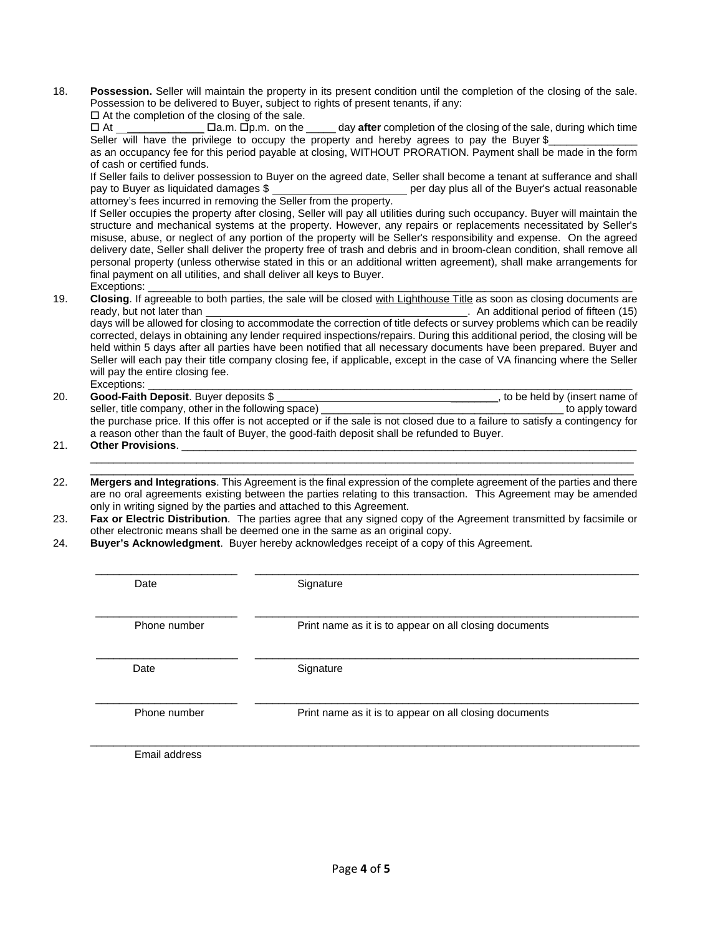18. **Possession.** Seller will maintain the property in its present condition until the completion of the closing of the sale. Possession to be delivered to Buyer, subject to rights of present tenants, if any:

 $\square$  At the completion of the closing of the sale.

 At \_\_\_\_\_\_\_\_\_\_\_\_\_ a.m. p.m. on the \_\_\_\_\_ day **after** completion of the closing of the sale, during which time Seller will have the privilege to occupy the property and hereby agrees to pay the Buyer \$

as an occupancy fee for this period payable at closing, WITHOUT PRORATION. Payment shall be made in the form of cash or certified funds.

If Seller fails to deliver possession to Buyer on the agreed date, Seller shall become a tenant at sufferance and shall pay to Buyer as liquidated damages \$ per day plus all of the Buyer's actual reasonable attorney's fees incurred in removing the Seller from the property.

If Seller occupies the property after closing, Seller will pay all utilities during such occupancy. Buyer will maintain the structure and mechanical systems at the property. However, any repairs or replacements necessitated by Seller's misuse, abuse, or neglect of any portion of the property will be Seller's responsibility and expense. On the agreed delivery date, Seller shall deliver the property free of trash and debris and in broom-clean condition, shall remove all personal property (unless otherwise stated in this or an additional written agreement), shall make arrangements for final payment on all utilities, and shall deliver all keys to Buyer.

- Exceptions: \_\_\_\_\_\_\_\_\_\_\_\_\_\_\_\_\_\_\_\_\_\_\_\_\_\_\_\_\_\_\_\_\_\_\_\_\_\_\_\_\_\_\_\_\_\_\_\_\_\_\_\_\_\_\_\_\_\_\_\_\_\_\_\_\_\_\_\_\_\_\_\_\_\_\_\_\_\_\_\_\_\_ 19. **Closing**. If agreeable to both parties, the sale will be closed with Lighthouse Title as soon as closing documents are ready, but not later than **than**  $\blacksquare$  An additional period of fifteen (15) days will be allowed for closing to accommodate the correction of title defects or survey problems which can be readily corrected, delays in obtaining any lender required inspections/repairs. During this additional period, the closing will be held within 5 days after all parties have been notified that all necessary documents have been prepared. Buyer and Seller will each pay their title company closing fee, if applicable, except in the case of VA financing where the Seller will pay the entire closing fee. Exceptions: \_\_\_\_\_\_\_\_\_\_\_\_\_\_\_\_\_\_\_\_\_\_\_\_\_\_\_\_\_\_\_\_\_\_\_\_\_\_\_\_\_\_\_\_\_\_\_\_\_\_\_\_\_\_\_\_\_\_\_\_\_\_\_\_\_\_\_\_\_\_\_\_\_\_\_\_\_\_\_\_\_\_
- 20. **Good-Faith Deposit**. Buyer deposits \$ \_\_\_\_\_\_\_\_, to be held by (insert name of seller, title company, other in the following space) example to apply toward the purchase price. If this offer is not accepted or if the sale is not closed due to a failure to satisfy a contingency for a reason other than the fault of Buyer, the good-faith deposit shall be refunded to Buyer.
- 21. **Other Provisions**. \_\_\_\_\_\_\_\_\_\_\_\_\_\_\_\_\_\_\_\_\_\_\_\_\_\_\_\_\_\_\_\_\_\_\_\_\_\_\_\_\_\_\_\_\_\_\_\_\_\_\_\_\_\_\_\_\_\_\_\_\_\_\_\_\_\_\_\_\_\_\_\_\_\_\_\_\_  $\_$  ,  $\_$  ,  $\_$  ,  $\_$  ,  $\_$  ,  $\_$  ,  $\_$  ,  $\_$  ,  $\_$  ,  $\_$  ,  $\_$  ,  $\_$  ,  $\_$  ,  $\_$  ,  $\_$  ,  $\_$  ,  $\_$  ,  $\_$  ,  $\_$  ,  $\_$  ,  $\_$  ,  $\_$  ,  $\_$  ,  $\_$  ,  $\_$  ,  $\_$  ,  $\_$  ,  $\_$  ,  $\_$  ,  $\_$  ,  $\_$  ,  $\_$  ,  $\_$  ,  $\_$  ,  $\_$  ,  $\_$  ,  $\_$  ,
- 22. **Mergers and Integrations**. This Agreement is the final expression of the complete agreement of the parties and there are no oral agreements existing between the parties relating to this transaction. This Agreement may be amended only in writing signed by the parties and attached to this Agreement.

 $\overline{\phantom{a}}$  , and the contribution of the contribution of the contribution of the contribution of the contribution of the contribution of the contribution of the contribution of the contribution of the contribution of the

- 23. **Fax or Electric Distribution**. The parties agree that any signed copy of the Agreement transmitted by facsimile or other electronic means shall be deemed one in the same as an original copy.
- 24. **Buyer's Acknowledgment**. Buyer hereby acknowledges receipt of a copy of this Agreement.

| Date          | Signature                                              |
|---------------|--------------------------------------------------------|
| Phone number  | Print name as it is to appear on all closing documents |
| Date          | Signature                                              |
| Phone number  | Print name as it is to appear on all closing documents |
| Email address |                                                        |